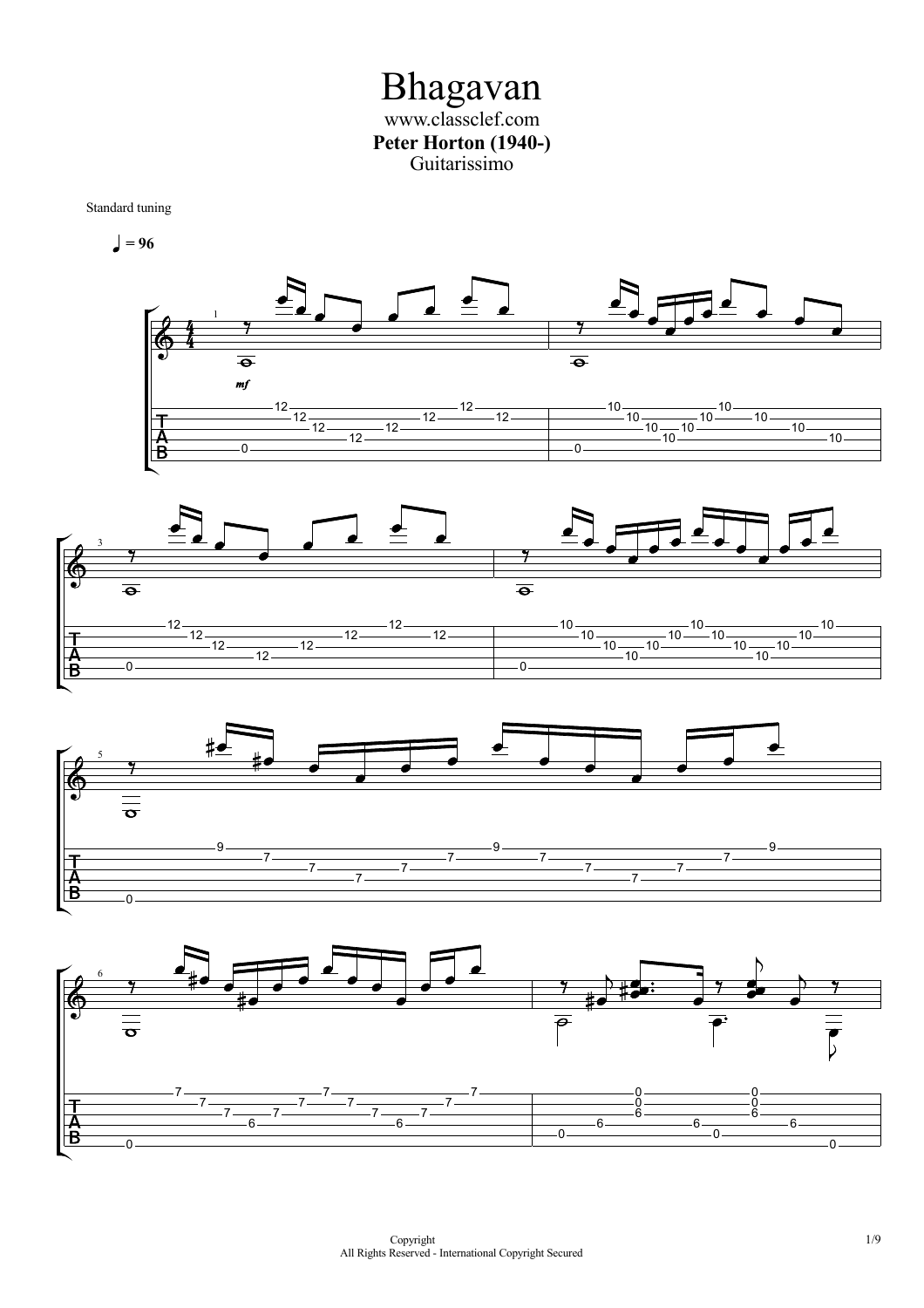Bhagavan www.classclef.com **Peter Horton (1940-)** Guitarissimo

Standard tuning

 $= 96$ 







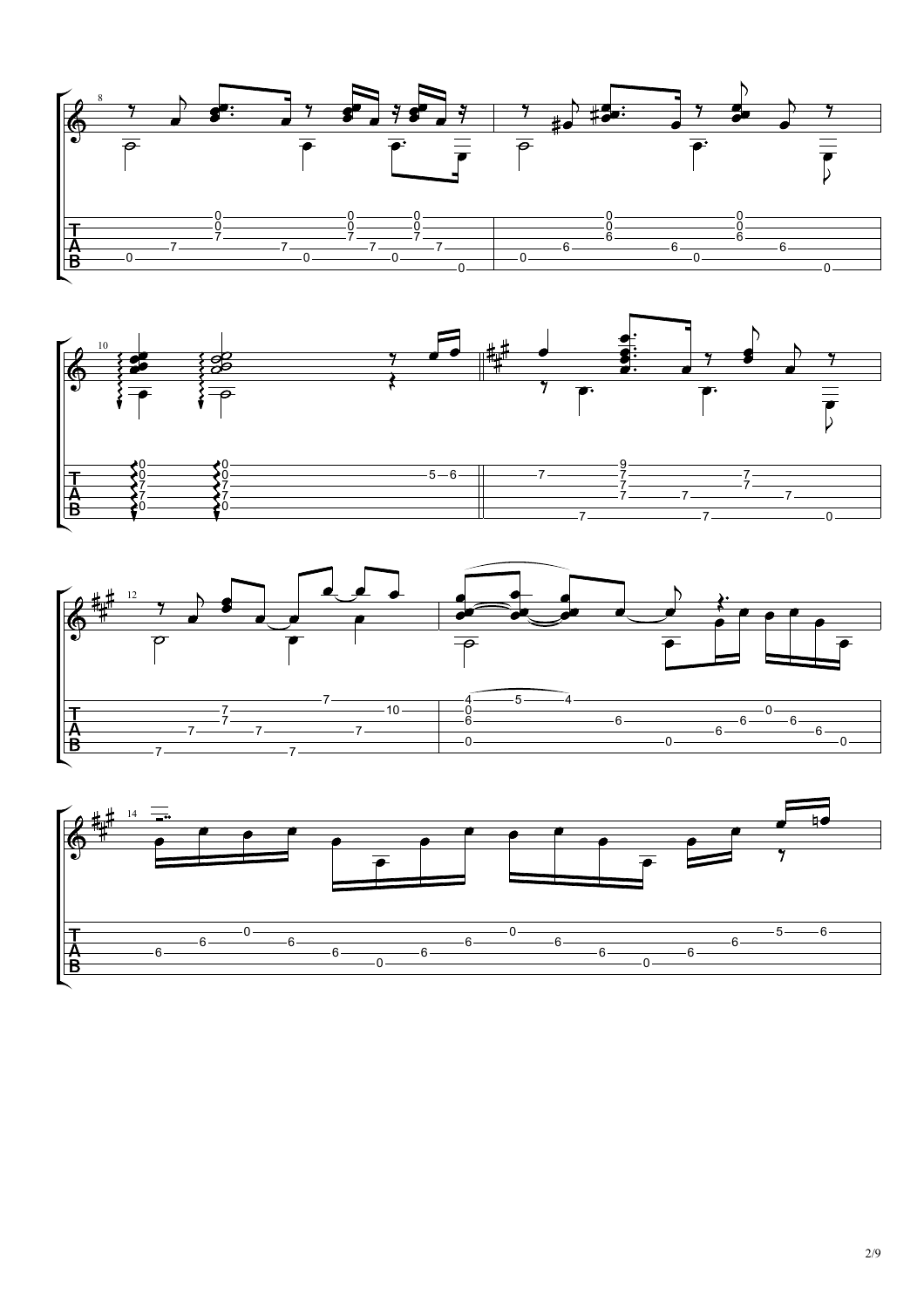





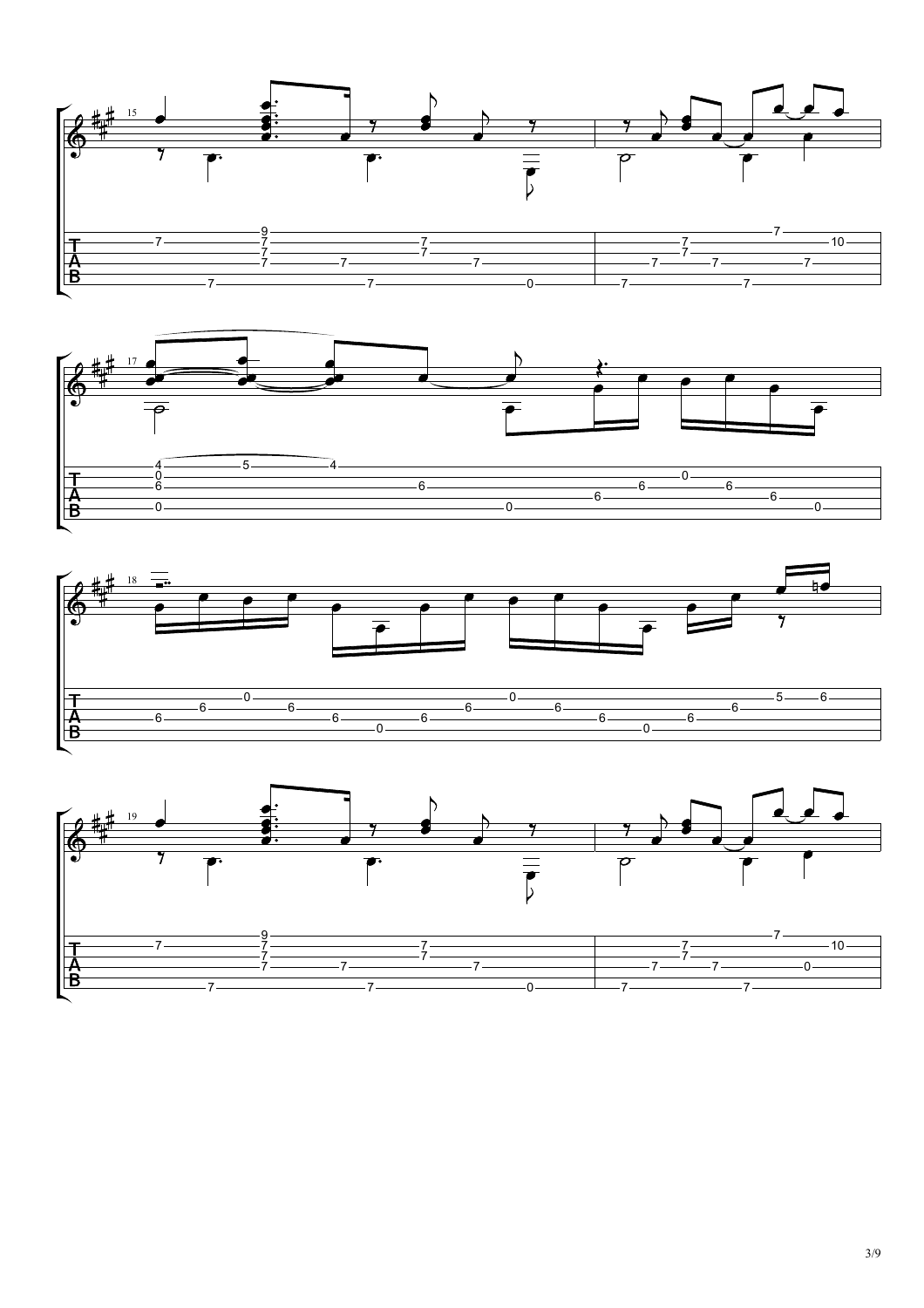





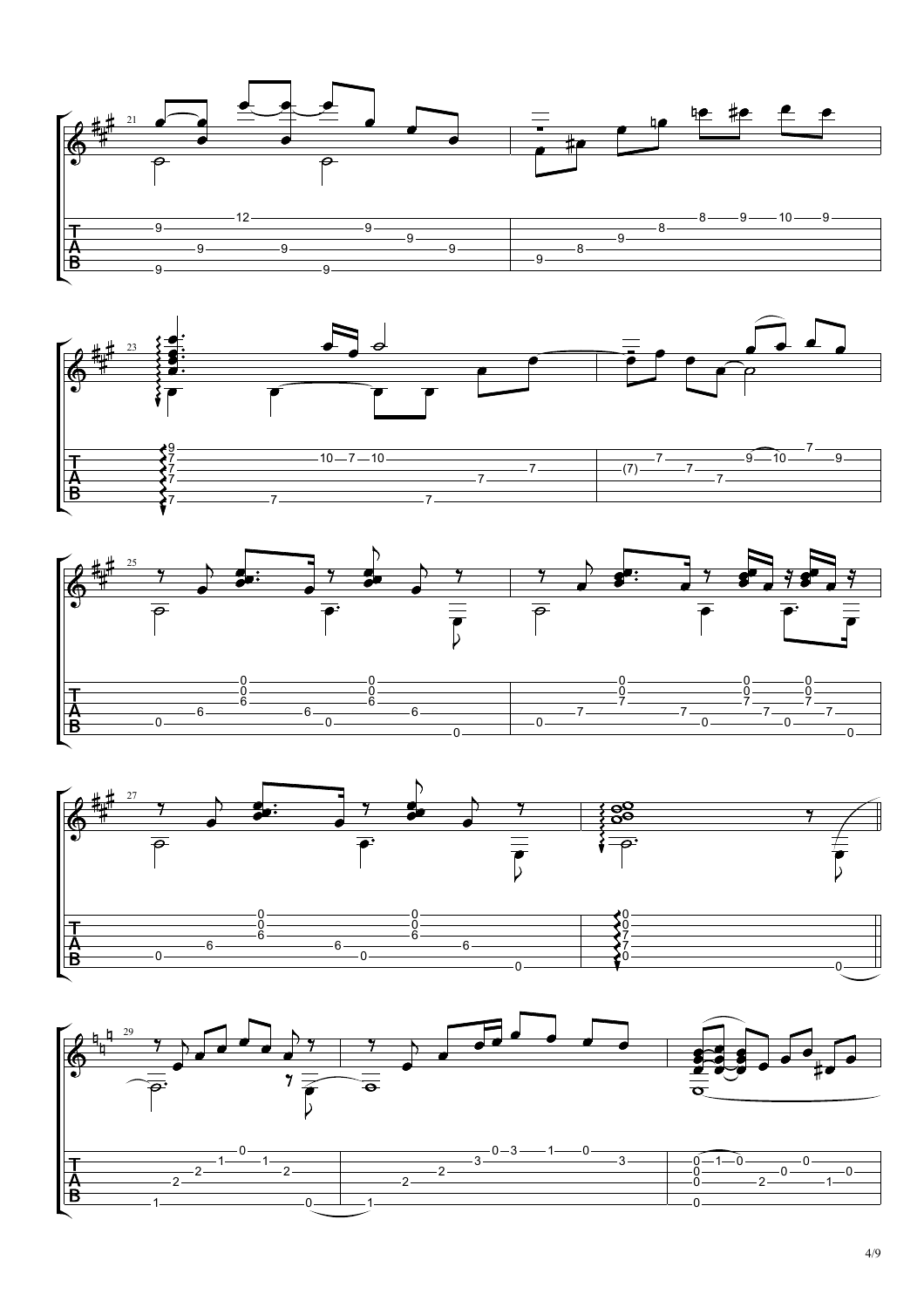







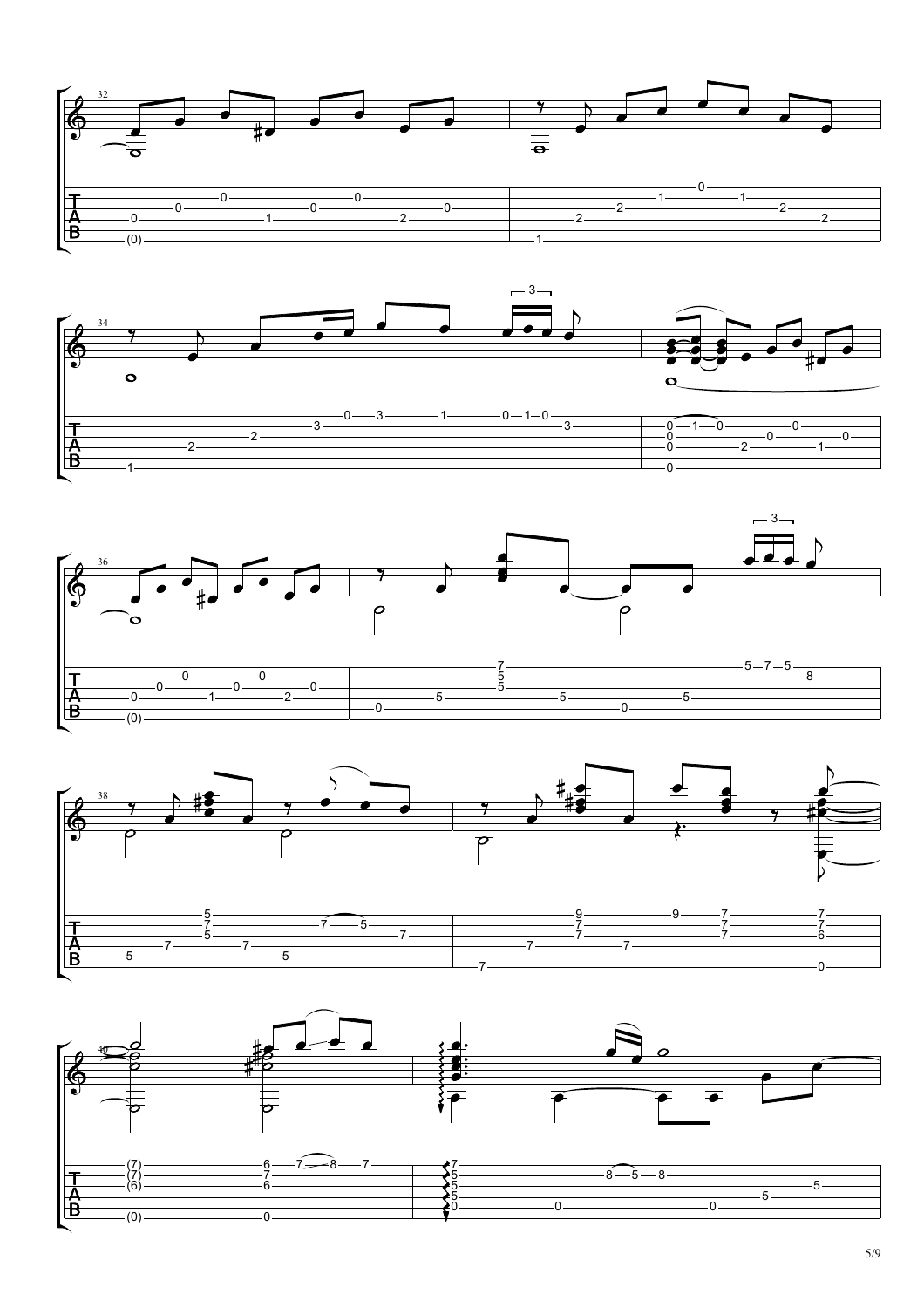







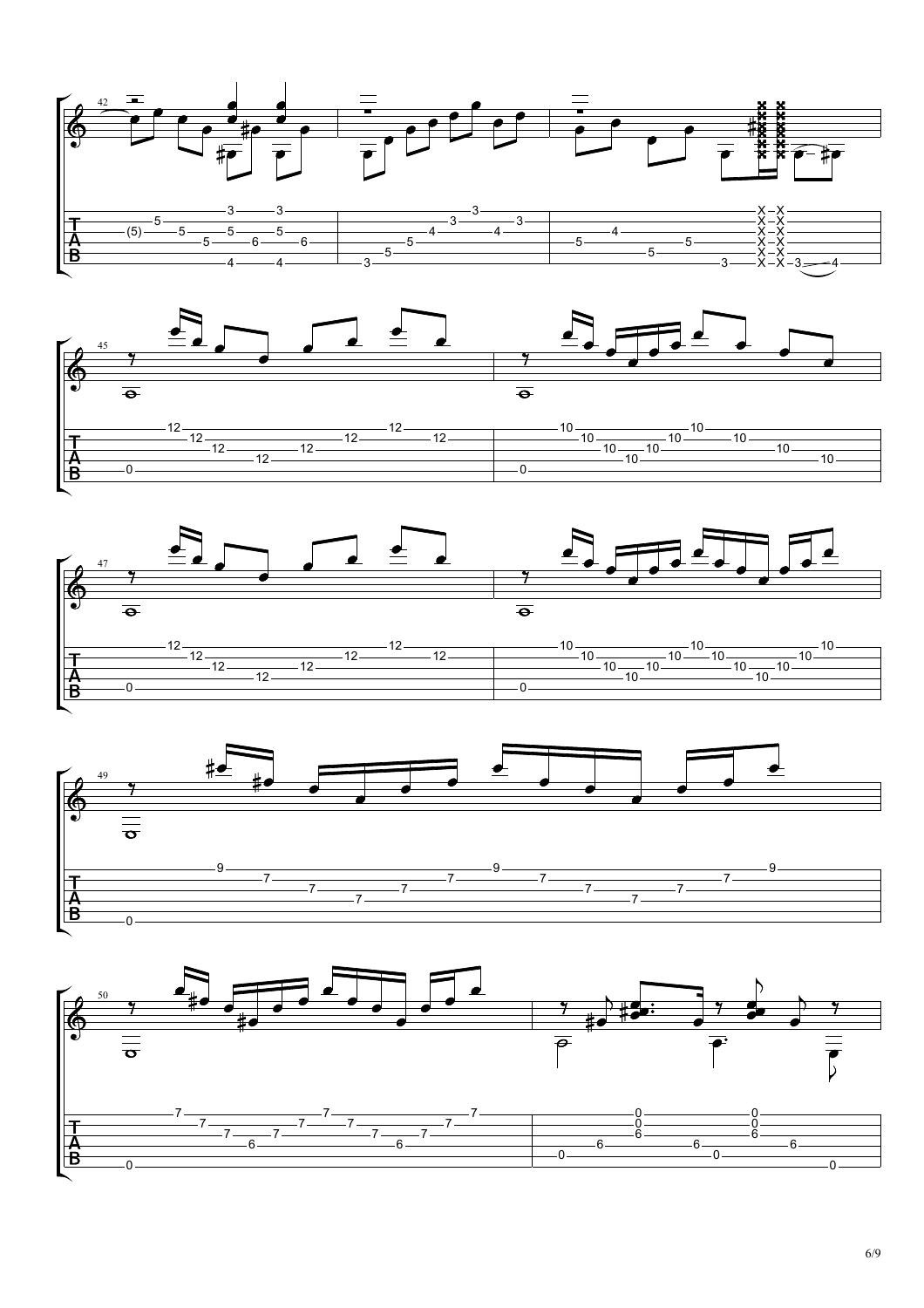







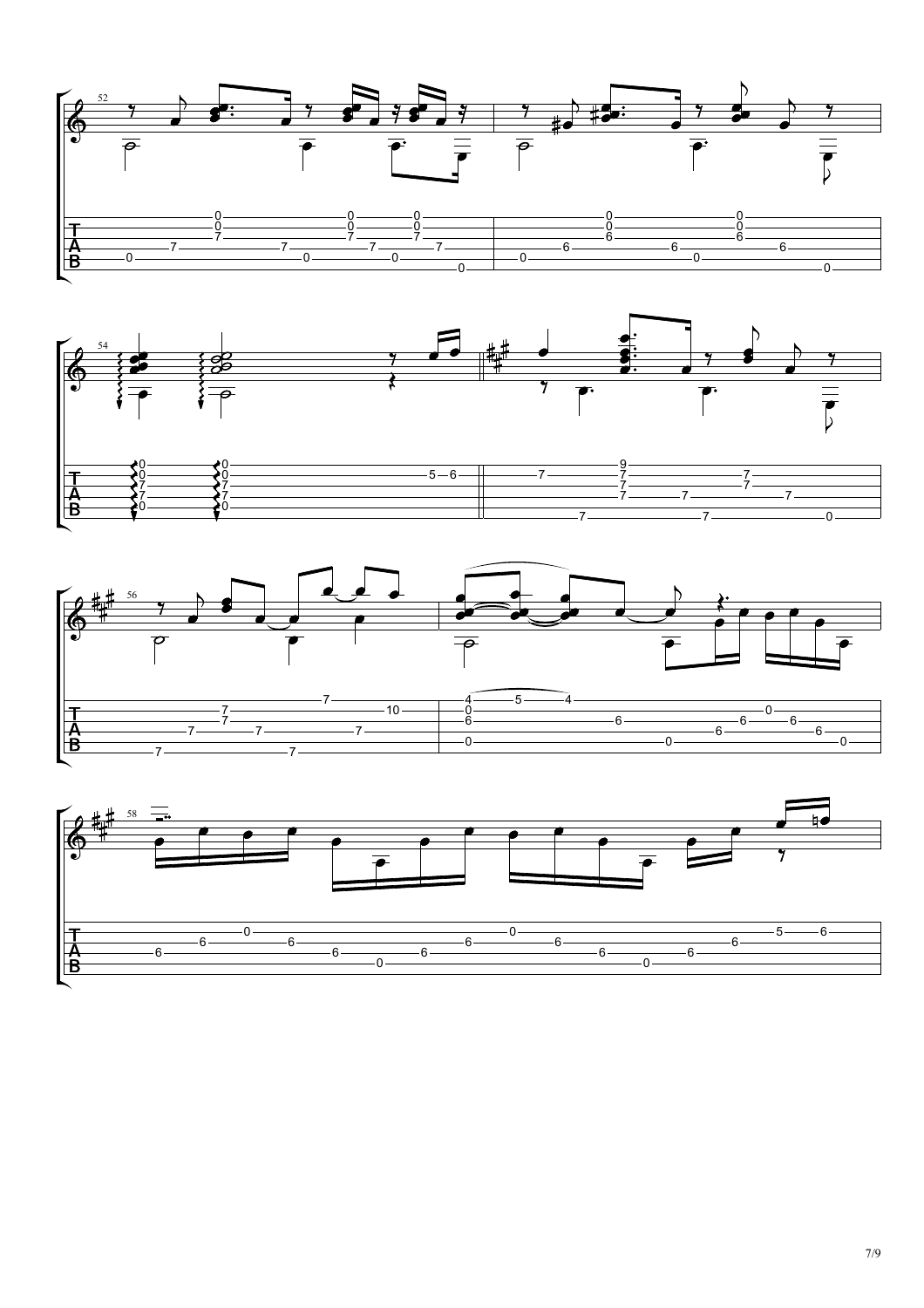





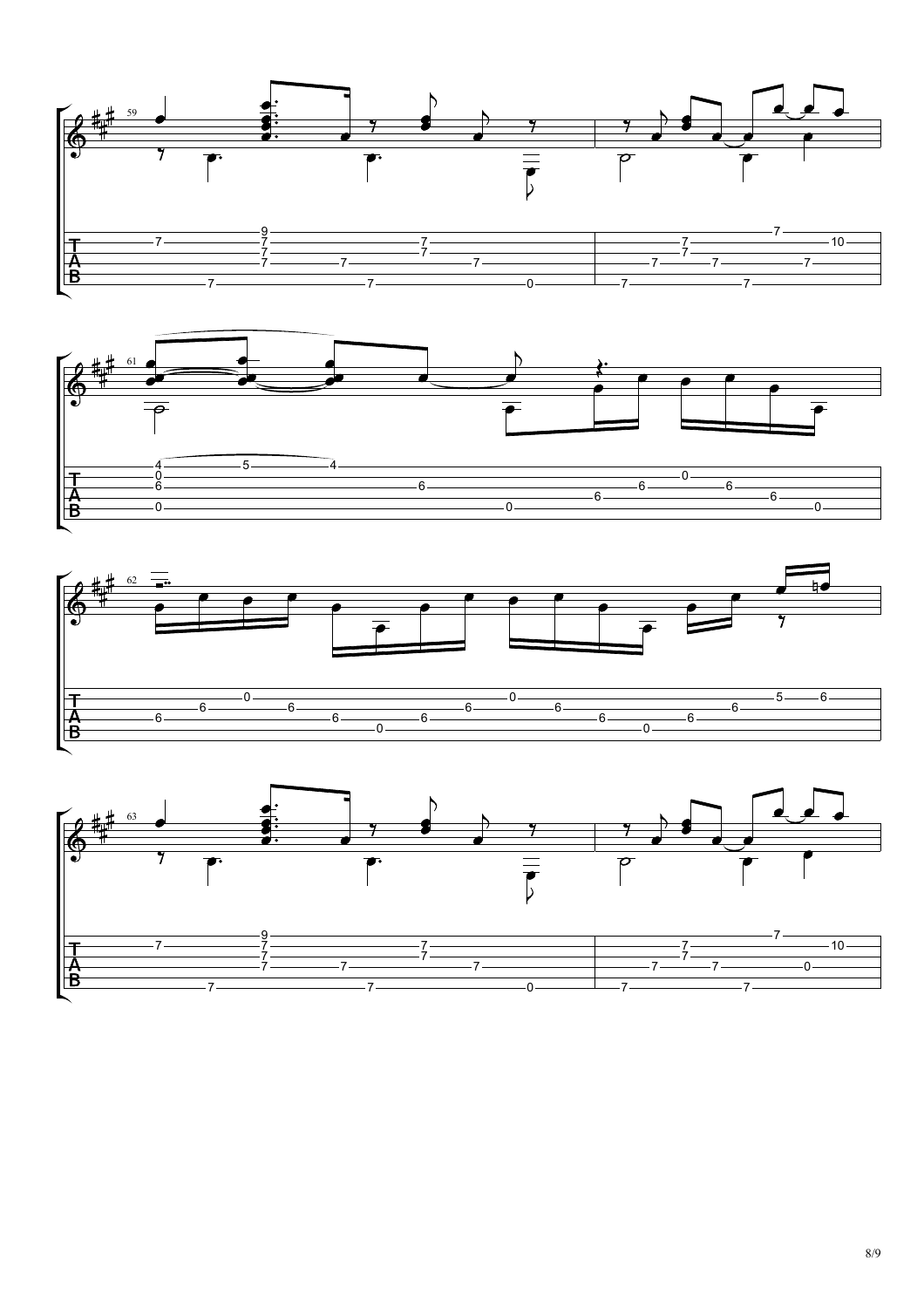